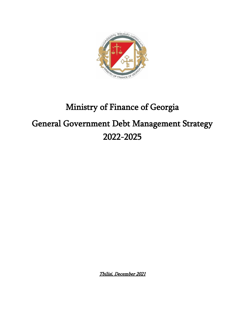

# Ministry of Finance of Georgia General Government Debt Management Strategy 2022-2025

Tbilisi, December 2021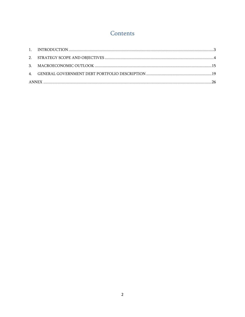# Contents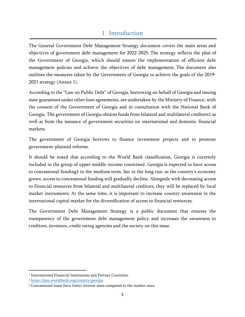# 1. Introduction

<span id="page-2-0"></span>The General Government Debt Management Strategy document covers the main areas and objectives of government debt management for 2022-2025. The strategy reflects the plan of the Government of Georgia, which should ensure the implementation of efficient debt management policies and achieve the objectives of debt management. The document also outlines the measures taken by the Government of Georgia to achieve the goals of the 2019- 2021 strategy (Annex 1).

According to the "Law on Public Debt" of Georgia, borrowing on behalf of Georgia and issuing state guarantees under other loan agreements, are undertaken by the Ministry of Finance, with the consent of the Government of Georgia and in consultation with the National Bank of Georgia. The government of Georgia obtains funds from bilateral and multilateral creditors1 as well as from the issuance of government securities on international and domestic financial markets.

The government of Georgia borrows to finance investment projects and to promote government-planned reforms.

It should be noted that according to the World Bank classification, Georgia is currently included in the group of upper middle-income countries2. Georgia is expected to have access to concessional funding3 in the medium term, but in the long run, as the country's economy grows, access to concessional funding will gradually decline. Alongside with decreasing access to financial resources from bilateral and multilateral creditors, they will be replaced by local market instruments. At the same time, it is important to increase country awareness in the international capital market for the diversification of access to financial resources.

The Government Debt Management Strategy is a public document that ensures the transparency of the government debt management policy and increases the awareness to creditors, investors, credit rating agencies and the society on this issue.

<sup>1</sup> International Financial Institutions and Partner Countries.

<sup>2</sup> <https://data.worldbank.org/country/georgia>

<sup>&</sup>lt;sup>3</sup> Concessional loans have lower interest rates compared to the market rates.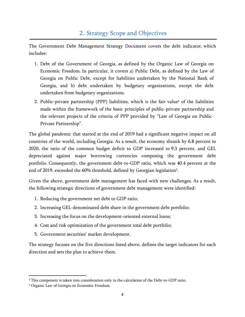## 2. Strategy Scope and Objectives

<span id="page-3-0"></span>The Government Debt Management Strategy Document covers the debt indicator, which includes:

- 1. Debt of the Government of Georgia, as defined by the Organic Law of Georgia on Economic Freedom. In particular, it covers a) Public Debt, as defined by the Law of Georgia on Public Debt, except for liabilities undertaken by the National Bank of Georgia, and b) debt undertaken by budgetary organizations, except the debt undertaken from budgetary organizations.
- 2. Public-private partnership (PPP) liabilities, which is the fair value<sup>4</sup> of the liabilities made within the framework of the basic principles of public-private partnership and the relevant projects of the criteria of PPP provided by "Law of Georgia on Public-Private Partnership".

The global pandemic that started at the end of 2019 had a significant negative impact on all countries of the world, including Georgia. As a result, the economy shrank by 6.8 percent in 2020, the ratio of the common budget deficit to GDP increased to 9.3 percent, and GEL depreciated against major borrowing currencies composing the government debt portfolio. Consequently, the government debt-to-GDP ratio, which was 40.4 percent at the end of 2019, exceeded the 60% threshold, defined by Georgian legislation<sup>5</sup>.

Given the above, government debt management has faced with new challenges. As a result, the following strategic directions of government debt management were identified:

- 1. Reducing the government net debt to GDP ratio;
- 2. Increasing GEL-denominated debt share in the government debt portfolio;
- 3. Increasing the focus on the development-oriented external loans;
- 4. Cost and risk optimization of the government total debt portfolio;
- 5. Government securities' market development.

The strategy focuses on the five directions listed above, defines the target indicators for each direction and sets the plan to achieve them.

<sup>4</sup> This component is taken into consideration only in the calculation of the Debt-to-GDP ratio.

<sup>5</sup> Organic Law of Georgia on Economic Freedom.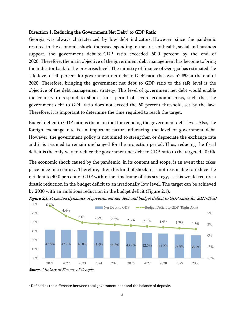### Direction 1. Reducing the Government Net Debt<sup>6</sup> to GDP Ratio

Georgia was always characterized by low debt indicators. However, since the pandemic resulted in the economic shock, increased spending in the areas of health, social and business support, the government debt-to-GDP ratio exceeded 60.0 percent by the end of 2020. Therefore, the main objective of the government debt management has become to bring the indicator back to the pre-crisis level. The ministry of finance of Georgia has estimated the safe level of 40 percent for government net debt to GDP ratio that was 52.8% at the end of 2020. Therefore, bringing the government net debt to GDP ratio to the safe level is the objective of the debt management strategy. This level of government net debt would enable the country to respond to shocks, in a period of severe economic crisis, such that the government debt to GDP ratio does not exceed the 60 percent threshold, set by the law. Therefore, it is important to determine the time required to reach the target.

Budget deficit to GDP ratio is the main tool for reducing the government debt level. Also, the foreign exchange rate is an important factor influencing the level of government debt. However, the government policy is not aimed to strengthen or depreciate the exchange rate and it is assumed to remain unchanged for the projection period. Thus, reducing the fiscal deficit is the only way to reduce the government net debt to GDP ratio to the targeted 40.0%.

The economic shock caused by the pandemic, in its content and scope, is an event that takes place once in a century. Therefore, after this kind of shock, it is not reasonable to reduce the net debt to 40.0 percent of GDP within the timeframe of this strategy, as this would require a drastic reduction in the budget deficit to an irrationally low level. The target can be achieved by 2030 with an ambitious reduction in the budget deficit (Figure 2.1).



Figure 2.1. Projected dynamics of government net debt and budget deficit to GDP ratios for 2021-2030

**Source:** Ministry of Finance of Georgia

<sup>&</sup>lt;sup>6</sup> Defined as the difference between total government debt and the balance of deposits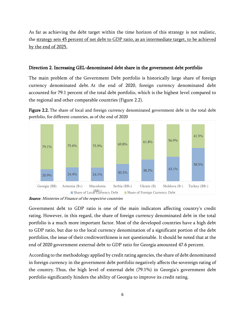As far as achieving the debt target within the time horizon of this strategy is not realistic, the strategy sets 45 percent of net debt to GDP ratio, as an intermediate target, to be achieved by the end of 2025.

#### Direction 2. Increasing GEL-denominated debt share in the government debt portfolio

The main problem of the Government Debt portfolio is historically large share of foreign currency denominated debt. At the end of 2020, foreign currency denominated debt accounted for 79.1 percent of the total debt portfolio, which is the highest level compared to the regional and other comparable countries (Figure 2.2).

Figure 2.2. The share of local and foreign currency denominated government debt in the total debt portfolio, for different countries, as of the end of 2020



**Source**: Ministries of Finance of the respective countries

Government debt to GDP ratio is one of the main indicators affecting country's credit rating. However, in this regard, the share of foreign currency denominated debt in the total portfolio is a much more important factor. Most of the developed countries have a high debt to GDP ratio, but due to the local currency denomination of a significant portion of the debt portfolios, the issue of their creditworthiness is not questionable. It should be noted that at the end of 2020 government external debt to GDP ratio for Georgia amounted 47.6 percent.

According to the methodology applied by credit rating agencies, the share of debt denominated in foreign currency in the government debt portfolio negatively affects the sovereign rating of the country. Thus, the high level of external debt (79.1%) in Georgia's government debt portfolio significantly hinders the ability of Georgia to improve its credit rating.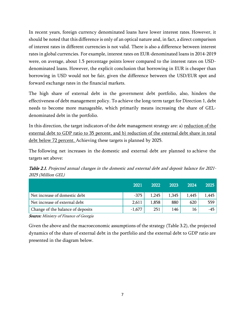In recent years, foreign currency denominated loans have lower interest rates. However, it should be noted that this difference is only of an optical nature and, in fact, a direct comparison of interest rates in different currencies is not valid. There is also a difference between interest rates in global currencies. For example, interest rates on EUR-denominated loans in 2014-2019 were, on average, about 1.5 percentage points lower compared to the interest rates on USDdenominated loans. However, the explicit conclusion that borrowing in EUR is cheaper than borrowing in USD would not be fair, given the difference between the USD/EUR spot and forward exchange rates in the financial markets.

The high share of external debt in the government debt portfolio, also, hinders the effectiveness of debt management policy. To achieve the long-term target for Direction 1, debt needs to become more manageable, which primarily means increasing the share of GELdenominated debt in the portfolio.

In this direction, the target indicators of the debt management strategy are: a) reduction of the external debt to GDP ratio to 35 percent, and b) reduction of the external debt share in total debt below 72 percent. Achieving these targets is planned by 2025.

The following net increases in the domestic and external debt are planned to achieve the targets set above:

Table 2.1. Projected annual changes in the domestic and external debt and deposit balance for 2021- 2025 (Million GEL)

|                                          | 2021     | 2022  | 2023  | 2024  | 2025  |
|------------------------------------------|----------|-------|-------|-------|-------|
| Net increase of domestic debt            | -375     | 1,245 | 1,345 | 1,445 | 1,445 |
| Net increase of external debt            | 2,611    | 1,858 | 880   | 620   | 559   |
| Change of the balance of deposits        | $-1,677$ | 251   | 146   | 16    | -45   |
| $\sigma$ are $\sigma$ $\sigma$<br>$\sim$ |          |       |       |       |       |

**Source:** Ministry of Finance of Georgia

Given the above and the macroeconomic assumptions of the strategy (Table 3.2), the projected dynamics of the share of external debt in the portfolio and the external debt to GDP ratio are presented in the diagram below.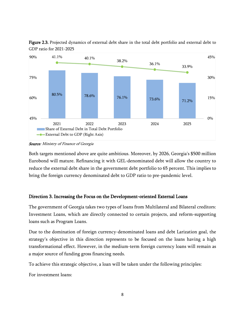

Figure 2.3. Projected dynamics of external debt share in the total debt portfolio and external debt to GDP ratio for 2021-2025

**Source**: Ministry of Finance of Georgia

Both targets mentioned above are quite ambitious. Moreover, by 2026, Georgia's \$500 million Eurobond will mature. Refinancing it with GEL-denominated debt will allow the country to reduce the external debt share in the government debt portfolio to 65 percent. This implies to bring the foreign currency denominated debt to GDP ratio to pre-pandemic level.

## Direction 3. Increasing the Focus on the Development-oriented External Loans

The government of Georgia takes two types of loans from Multilateral and Bilateral creditors: Investment Loans, which are directly connected to certain projects, and reform-supporting loans such as Program Loans.

Due to the domination of foreign currency-denominated loans and debt Larization goal, the strategy's objective in this direction represents to be focused on the loans having a high transformational effect. However, in the medium-term foreign currency loans will remain as a major source of funding gross financing needs.

To achieve this strategic objective, a loan will be taken under the following principles:

For investment loans: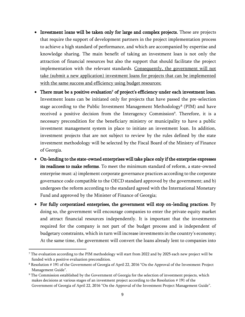- Investment loans will be taken only for large and complex projects. These are projects that require the support of development partners in the project implementation process to achieve a high standard of performance, and which are accompanied by expertise and knowledge sharing. The main benefit of taking an investment loan is not only the attraction of financial resources but also the support that should facilitate the project implementation with the relevant standards. Consequently, the government will not take (submit a new application) investment loans for projects that can be implemented with the same success and efficiency using budget resources;
- There must be a positive evaluation<sup>7</sup> of project's efficiency under each investment loan. Investment loans can be initiated only for projects that have passed the pre-selection stage according to the Public Investment Management Methodology<sup>8</sup> (PIM) and have received a positive decision from the Interagency Commission 9 . Therefore, it is a necessary precondition for the beneficiary ministry or municipality to have a public investment management system in place to initiate an investment loan. In addition, investment projects that are not subject to review by the rules defined by the state investment methodology will be selected by the Fiscal Board of the Ministry of Finance of Georgia.
- On-lending to the state-owned enterprises will take place only if the enterprise expresses its readiness to make reforms. To meet the minimum standard of reform, a state-owned enterprise must: a) implement corporate governance practices according to the corporate governance code compatible to the OECD standard approved by the government; and b) undergoes the reform according to the standard agreed with the International Monetary Fund and approved by the Minister of Finance of Georgia;
- For fully corporatized enterprises, the government will stop on-lending practices. By doing so, the government will encourage companies to enter the private equity market and attract financial resources independently. It is important that the investments required for the company is not part of the budget process and is independent of budgetary constraints, which in turn will increase investments in the country's economy; At the same time, the government will convert the loans already lent to companies into

<sup>&</sup>lt;sup>7</sup> The evaluation according to the PIM methodology will start from 2022 and by 2025 each new project will be funded with a positive evaluation precondition.

<sup>8</sup> Resolution # 191 of the Government of Georgia of April 22, 2016 "On the Approval of the Investment Project Management Guide".

<sup>&</sup>lt;sup>9</sup> The Commission established by the Government of Georgia for the selection of investment projects, which makes decisions at various stages of an investment project according to the Resolution # 191 of the Government of Georgia of April 22, 2016 "On the Approval of the Investment Project Management Guide".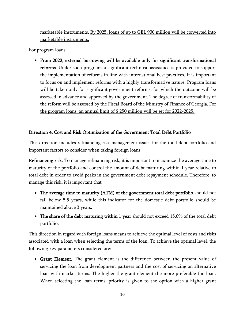marketable instruments. By 2025, loans of up to GEL 900 million will be converted into marketable instruments.

For program loans:

• From 2022, external borrowing will be available only for significant transformational reforms. Under such programs a significant technical assistance is provided to support the implementation of reforms in line with international best practices. It is important to focus on and implement reforms with a highly transformative nature. Program loans will be taken only for significant government reforms, for which the outcome will be assessed in advance and approved by the government. The degree of transformability of the reform will be assessed by the Fiscal Board of the Ministry of Finance of Georgia. For the program loans, an annual limit of \$ 250 million will be set for 2022-2025.

## Direction 4. Cost and Risk Optimization of the Government Total Debt Portfolio

This direction includes refinancing risk management issues for the total debt portfolio and important factors to consider when taking foreign loans.

Refinancing risk. To manage refinancing risk, it is important to maximize the average time to maturity of the portfolio and control the amount of debt maturing within 1 year relative to total debt in order to avoid peaks in the government debt repayment schedule. Therefore, to manage this risk, it is important that

- The average time to maturity (ATM) of the government total debt portfolio should not fall below 5.5 years, while this indicator for the domestic debt portfolio should be maintained above 3 years;
- The share of the debt maturing within 1 year should not exceed 15.0% of the total debt portfolio.

This direction in regard with foreign loans means to achieve the optimal level of costs and risks associated with a loan when selecting the terms of the loan. To achieve the optimal level, the following key parameters considered are:

• Grant Element. The grant element is the difference between the present value of servicing the loan from development partners and the cost of servicing an alternative loan with market terms. The higher the grant element the more preferable the loan. When selecting the loan terms, priority is given to the option with a higher grant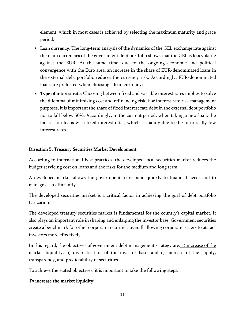element, which in most cases is achieved by selecting the maximum maturity and grace period;

- Loan currency. The long-term analysis of the dynamics of the GEL exchange rate against the main currencies of the government debt portfolio shows that the GEL is less volatile against the EUR. At the same time, due to the ongoing economic and political convergence with the Euro area, an increase in the share of EUR-denominated loans in the external debt portfolio reduces the currency risk. Accordingly, EUR-denominated loans are preferred when choosing a loan currency;
- Type of interest rate. Choosing between fixed and variable interest rates implies to solve the dilemma of minimizing cost and refinancing risk. For interest rate risk management purposes, it is important the share of fixed interest rate debt in the external debt portfolio not to fall below 50%. Accordingly, in the current period, when taking a new loan, the focus is on loans with fixed interest rates, which is mainly due to the historically low interest rates.

#### Direction 5. Treasury Securities Market Development

According to international best practices, the developed local securities market reduces the budget servicing cost on loans and the risks for the medium and long term.

A developed market allows the government to respond quickly to financial needs and to manage cash efficiently.

The developed securities market is a critical factor in achieving the goal of debt portfolio Larization.

The developed treasury securities market is fundamental for the country's capital market. It also plays an important role in shaping and enlarging the investor base. Government securities create a benchmark for other corporate securities, overall allowing corporate issuers to attract investors more effectively.

In this regard, the objectives of government debt management strategy are: a) increase of the market liquidity, b) diversification of the investor base, and c) increase of the supply, transparency, and predictability of securities.

To achieve the stated objectives, it is important to take the following steps:

#### To increase the market liquidity: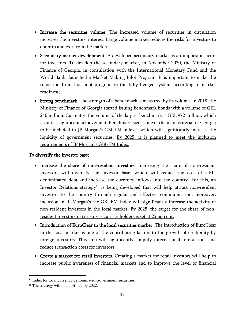- Increase the securities volume. The increased volume of securities in circulation increases the investors' interest. Large volume market reduces the risks for investors to enter in and exit from the market;
- Secondary market development. A developed secondary market is an important factor for investors. To develop the secondary market, in November 2020, the Ministry of Finance of Georgia, in consultation with the International Monetary Fund and the World Bank, launched a Market Making Pilot Program. It is important to make the transition from this pilot program to the fully-fledged system, according to market readiness;
- Strong benchmark. The strength of a benchmark is measured by its volume. In 2018, the Ministry of Finance of Georgia started issuing benchmark bonds with a volume of GEL 240 million. Currently, the volume of the largest benchmark is GEL 972 million, which is quite a significant achievement. Benchmark size is one of the main criteria for Georgia to be included in JP Morgan's GBI-EM index<sup>10</sup>, which will significantly increase the liquidity of government securities. By 2025, it is planned to meet the inclusion requirements of JP Morgan's GBI-EM Index.

#### To diversify the investor base:

- Increase the share of non-resident investors. Increasing the share of non-resident investors will diversify the investor base, which will reduce the cost of GELdenominated debt and increase the currency inflows into the country. For this, an Investor Relations strategy<sup>11</sup> is being developed that will help attract non-resident investors to the country through regular and effective communication, moreover, inclusion in JP Morgan's the GBI-EM Index will significantly increase the activity of non-resident investors in the local market. By 2025, the target for the share of nonresident investors in treasury securities holders is set at 25 percent;
- Introduction of EuroClear to the local securities market. The introduction of EuroClear in the local market is one of the contributing factors to the growth of credibility by foreign investors. This step will significantly simplify international transactions and reduce transaction costs for investors;
- Create a market for retail investors. Creating a market for retail investors will help to increase public awareness of financial markets and to improve the level of financial

<sup>&</sup>lt;sup>10</sup> Index for local currency denominated Government securities.

<sup>&</sup>lt;sup>11</sup> The strategy will be published by 2022.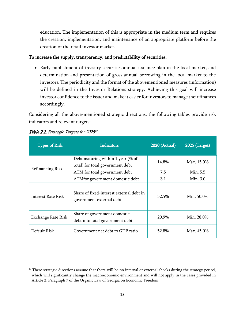education. The implementation of this is appropriate in the medium term and requires the creation, implementation, and maintenance of an appropriate platform before the creation of the retail investor market.

#### To increase the supply, transparency, and predictability of securities:

• Early publishment of treasury securities annual issuance plan in the local market, and determination and presentation of gross annual borrowing in the local market to the investors. The periodicity and the format of the abovementioned measures (information) will be defined in the Investor Relations strategy. Achieving this goal will increase investor confidence to the issuer and make it easier for investors to manage their finances accordingly.

Considering all the above-mentioned strategic directions, the following tables provide risk indicators and relevant targets:

| <b>Types of Risk</b>      | <b>Indicators</b>                                                     | <b>2020 (Actual)</b> | <b>2025 (Target)</b> |
|---------------------------|-----------------------------------------------------------------------|----------------------|----------------------|
|                           | Debt maturing within 1 year (% of<br>total) for total government debt | 14.8%                | Max. 15.0%           |
|                           | Refinancing Risk<br>7.5<br>ATM for total government debt              |                      | Min. 5.5             |
|                           | ATMfor government domestic debt                                       | 3.1                  | Min. 3.0             |
| Interest Rate Risk        | Share of fixed-interest external debt in<br>government external debt  | 52.5%                | Min. 50.0%           |
| <b>Exchange Rate Risk</b> | Share of government domestic<br>debt into total government debt       | 20.9%                | Min. 28.0%           |
| Default Risk              | Government net debt to GDP ratio                                      | 52.8%                | Max. 45.0%           |

#### Table 2.2. Strategic Targets for 2025<sup>12</sup>

 $12$  These strategic directions assume that there will be no internal or external shocks during the strategy period, which will significantly change the macroeconomic environment and will not apply in the cases provided in Article 2, Paragraph 7 of the Organic Law of Georgia on Economic Freedom.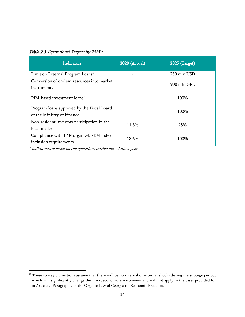Table 2.3. Operational Targets by 2025<sup>13</sup>

| <b>Indicators</b>                                                        | <b>2020 (Actual)</b> | 2025 (Target) |
|--------------------------------------------------------------------------|----------------------|---------------|
| Limit on External Program Loans*                                         |                      | 250 mln USD   |
| Conversion of on-lent resources into market<br>instruments               |                      | 900 mln GEL   |
| PIM-based investment loans*                                              |                      | 100%          |
| Program loans approved by the Fiscal Board<br>of the Ministry of Finance |                      | 100%          |
| Non-resident investors participation in the<br>local market              | 11.3%                | 25%           |
| Compliance with JP Morgan GBI-EM index<br>inclusion requirements         | 18.6%                | 100%          |

\*-Indicators are based on the operations carried out within a year

 $^{13}$  These strategic directions assume that there will be no internal or external shocks during the strategy period, which will significantly change the macroeconomic environment and will not apply in the cases provided for in Article 2, Paragraph 7 of the Organic Law of Georgia on Economic Freedom.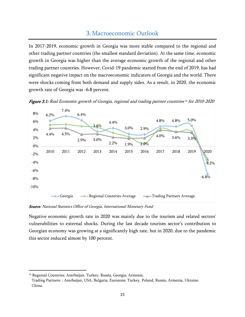## 3.Macroeconomic Outlook

<span id="page-14-0"></span>In 2017-2019, economic growth in Georgia was more stable compared to the regional and other trading partner countries (the smallest standard deviation). At the same time, economic growth in Georgia was higher than the average economic growth of the regional and other trading partner countries. However, Covid-19 pandemic started from the end of 2019, has had significant negative impact on the macroeconomic indicators of Georgia and the world. There were shocks coming from both demand and supply sides. As a result, in 2020, the economic growth rate of Georgia was -6.8 percent.



**Figure 3.1:** Real Economic growth of Georgia, regional and trading partner countries <sup>14</sup> for 2010-2020

Source: National Statistics Office of Georgia, International Monetary Fund

Negative economic growth rate in 2020 was mainly due to the tourism and related sectors' vulnerabilities to external shocks. During the last decade tourism sector's contribution to Georgian economy was growing at a significantly high rate, but in 2020, due to the pandemic this sector reduced almost by 100 percent.

<sup>14</sup> Regional Countries: Azerbaijan, Turkey, Russia, Georgia, Armenia.

Trading Partners: : Azerbaijan, USA, Bulgaria, Eurozone, Turkey, Poland, Russia, Armenia, Ukraine, China.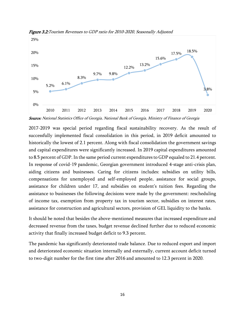

Figure 3.2:Tourism Revenues to GDP ratio for 2010-2020, Seasonally Adjusted

Source: National Statistics Office of Georgia, National Bank of Georgia, Ministry of Finance of Georgia

2017-2019 was special period regarding fiscal sustainability recovery. As the result of successfully implemented fiscal consolidation in this period, in 2019 deficit amounted to historically the lowest of 2.1 percent. Along with fiscal consolidation the government savings and capital expenditures were significantly increased. In 2019 capital expenditures amounted to 8.5 percent of GDP. In the same period current expenditures to GDP equaled to 21.4 percent. In response of covid-19 pandemic, Georgian government introduced 4-stage anti-crisis plan, aiding citizens and businesses. Caring for citizens includes: subsidies on utility bills, compensations for unemployed and self-employed people, assistance for social groups, assistance for children under 17, and subsidies on student's tuition fees. Regarding the assistance to businesses the following decisions were made by the government: rescheduling of income tax, exemption from property tax in tourism sector, subsidies on interest rates, assistance for construction and agricultural sectors, provision of GEL liquidity to the banks.

It should be noted that besides the above-mentioned measures that increased expenditure and decreased revenue from the taxes, budget revenue declined further due to reduced economic activity that finally increased budget deficit to 9.3 percent.

The pandemic has significantly deteriorated trade balance. Due to reduced export and import and deteriorated economic situation internally and externally, current account deficit turned to two-digit number for the first time after 2016 and amounted to 12.3 percent in 2020.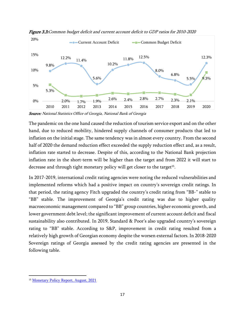

Figure 3.3:Common budget deficit and current account deficit to GDP ratios for 2010-2020

**Source:** National Statistics Office of Georgia, National Bank of Georgia

The pandemic on the one hand caused the reduction of tourism service export and on the other hand, due to reduced mobility, hindered supply channels of consumer products that led to inflation on the initial stage. The same tendency was in almost every country. From the second half of 2020 the demand reduction effect exceeded the supply reduction effect and, as a result, inflation rate started to decrease. Despite of this, according to the National Bank projection inflation rate in the short-term will be higher than the target and from 2022 it will start to decrease and through tight monetary policy will get closer to the target<sup>15</sup>.

In 2017-2019, international credit rating agencies were noting the reduced vulnerabilities and implemented reforms which had a positive impact on country's sovereign credit ratings. In that period, the rating agency Fitch upgraded the country's credit rating from "BB-" stable to "BB" stable. The improvement of Georgia's credit rating was due to higher quality macroeconomic management compared to "BB" group countries, higher economic growth, and lower government debt level; the significant improvement of current account deficit and fiscal sustainability also contributed. In 2019, Standard & Poor's also upgraded country's sovereign rating to "BB" stable. According to S&P, improvement in credit rating resulted from a relatively high growth of Georgian economy despite the worsen external factors. In 2018-2020 Sovereign ratings of Georgia assessed by the credit rating agencies are presented in the following table.

<sup>15</sup> [Monetary Policy Report, August, 2021](https://nbg.gov.ge/fm/%E1%83%9E%E1%83%A3%E1%83%91%E1%83%9A%E1%83%98%E1%83%99%E1%83%90%E1%83%AA%E1%83%98%E1%83%94%E1%83%91%E1%83%98/%E1%83%90%E1%83%9C%E1%83%92%E1%83%90%E1%83%A0%E1%83%98%E1%83%A8%E1%83%94%E1%83%91%E1%83%98/%E1%83%9B%E1%83%9D%E1%83%9C%E1%83%94%E1%83%A2%E1%83%90%E1%83%A0%E1%83%A3%E1%83%9A%E1%83%98_%E1%83%9E%E1%83%9D%E1%83%9A%E1%83%98%E1%83%A2%E1%83%98%E1%83%99%E1%83%98%E1%83%A1_%E1%83%90%E1%83%9C%E1%83%92%E1%83%90%E1%83%A0%E1%83%98%E1%83%A8%E1%83%98/2021/mpr2021q3-eng.pdf?v=1uc8d)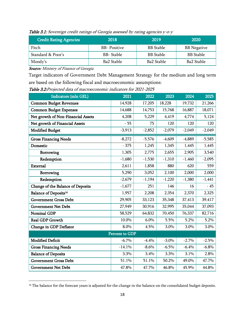| <b>Credit Rating Agencies</b> | 2018                | 2019             | 2020               |
|-------------------------------|---------------------|------------------|--------------------|
| Fitch                         | <b>BB-</b> Positive | <b>BB</b> Stable | <b>BB</b> Negative |
| Standard & Poor's             | BB-Stable           | <b>BB</b> Stable | <b>BB</b> Stable   |
| Moody's                       | Ba2 Stable          | Ba2 Stable       | Ba2 Stable         |

Table 3.1: Sovereign credit ratings of Georgia assessed by rating agencies y-o-y

**Source:** Ministry of Finance of Georgia

Target indicators of Government Debt Management Strategy for the medium and long term are based on the following fiscal and macroeconomic assumptions:

Table 3.2:Projected data of macroeconomic indicators for 2021-2025

| Indicators (mln GEL)               | 2021     | 2022     | 2023     | 2024     | 2025     |  |
|------------------------------------|----------|----------|----------|----------|----------|--|
| <b>Common Budget Revenues</b>      | 14,928   | 17,205   | 18,228   | 19,732   | 21,266   |  |
| <b>Common Budget Expenses</b>      | 14,688   | 14,753   | 15,768   | 16,887   | 18,071   |  |
| Net growth of Non-Financial Assets | 4,208    | 5,229    | 4,419    | 4,774    | 5,124    |  |
| Net growth of Financial Assets     | $-55$    | 75       | 120      | 120      | 120      |  |
| <b>Modified Budget</b>             | $-3,913$ | $-2,852$ | $-2,079$ | $-2,049$ | $-2,049$ |  |
| <b>Gross Financing Needs</b>       | $-8,272$ | $-5,576$ | $-4,609$ | $-4,889$ | $-5,585$ |  |
| Domestic                           | $-375$   | 1,245    | 1,345    | 1,445    | 1,445    |  |
| Borrowing                          | 1,305    | 2,775    | 2,655    | 2,905    | 3,540    |  |
| Redemption                         | $-1,680$ | $-1,530$ | $-1,310$ | $-1,460$ | $-2,095$ |  |
| External                           | 2,611    | 1,858    | 880      | 620      | 559      |  |
| Borrowing                          | 5,290    | 3,052    | 2,100    | 2,000    | 2,000    |  |
| Redemption                         | $-2,679$ | $-1,194$ | $-1,220$ | $-1,380$ | $-1,441$ |  |
| Change of the Balance of Deposits  | $-1,677$ | 251      | 146      | 16       | $-45$    |  |
| Balance of Deposits <sup>16</sup>  | 1,957    | 2,208    | 2,354    | 2,370    | 2,325    |  |
| Government Gross Debt              | 29,905   | 33,123   | 35,348   | 37,413   | 39,417   |  |
| <b>Government Net Debt</b>         | 27,949   | 30,916   | 32,995   | 35,044   | 37,093   |  |
| <b>Nominal GDP</b>                 | 58,529   | 64,832   | 70,450   | 76,337   | 82,716   |  |
| Real GDP Growth                    | 10.0%    | 6.0%     | 5.5%     | 5.2%     | 5.2%     |  |
| Change in GDP Deflator             | 8.0%     | 4.5%     | 3.0%     | 3.0%     | 3.0%     |  |
| Percent to GDP                     |          |          |          |          |          |  |
| <b>Modified Deficit</b>            | $-6.7\%$ | $-4.4%$  | $-3.0\%$ | $-2.7%$  | $-2.5%$  |  |
| <b>Gross Financing Needs</b>       | $-14.1%$ | $-8.6\%$ | $-6.5\%$ | $-6.4%$  | $-6.8%$  |  |
| <b>Balance of Deposits</b>         | 3.3%     | 3.4%     | 3.3%     | 3.1%     | 2.8%     |  |
| <b>Government Gross Debt</b>       | 51.1%    | 51.1%    | 50.2%    | 49.0%    | 47.7%    |  |
| <b>Government Net Debt</b>         | 47.8%    | 47.7%    | 46.8%    | 45.9%    | 44.8%    |  |

<sup>&</sup>lt;sup>16</sup> The balance for the forecast years is adjusted for the change in the balance on the consolidated budget deposits.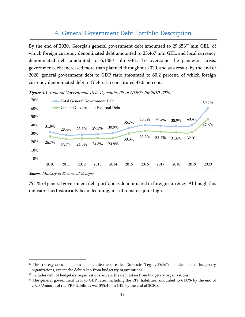## 4. General Government Debt Portfolio Description

<span id="page-18-0"></span>By the end of 2020, Georgia's general government debt amounted to 29,653<sup>17</sup> mln GEL, of which foreign currency denominated debt amounted to 23,467 mln GEL, and local currency denominated debt amounted to 6,186<sup>18</sup> mln GEL. To overcome the pandemic crisis, government debt increased more than planned throughout 2020, and as a result, by the end of 2020, general government debt to GDP ratio amounted to 60.2 percent, of which foreign currency denominated debt to GDP ratio constituted 47.6 percent.



**Figure 4.1.** General Government Debt Dynamics (% of GDP)<sup>19</sup> for 2010-2020

79.1% of general government debt portfolio is denominated in foreign currency. Although this indicator has historically been declining, it still remains quite high.

**Source:** Ministry of Finance of Georgia

<sup>&</sup>lt;sup>17</sup> The strategy document does not include the so called Domestic "Legacy Debt"; includes debt of budgetary organizations, except the debt taken from budgetary organizations.

<sup>&</sup>lt;sup>18</sup> Includes debt of budgetary organizations, except the debt taken from budgetary organizations.

<sup>&</sup>lt;sup>19</sup> The general government debt to GDP ratio, including the PPP liabilities, amounted to 61.0% by the end of 2020 (Amount of the PPP liabilities was 395.4 mln GEL by the end of 2020).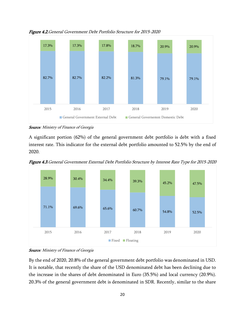

Figure 4.2.General Government Debt Portfolio Structure for 2015-2020

Source: Ministry of Finance of Georgia

A significant portion (62%) of the general government debt portfolio is debt with a fixed interest rate. This indicator for the external debt portfolio amounted to 52.5% by the end of 2020.





**Source**: Ministry of Finance of Georgia

By the end of 2020, 20.8% of the general government debt portfolio was denominated in USD. It is notable, that recently the share of the USD denominated debt has been declining due to the increase in the shares of debt denominated in Euro (35.5%) and local currency (20.9%). 20.3% of the general government debt is denominated in SDR. Recently, similar to the share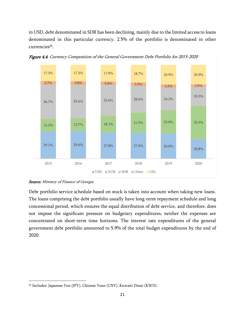in USD, debt denominated in SDR has been declining, mainly due to the limited access to loans denominated in this particular currency. 2.5% of the portfolio is denominated in other currencies<sup>20</sup>.



Figure 4.4. Currency Composition of the General Government Debt Portfolio for 2015-2020

**Source:** Ministry of Finance of Georgia

Debt portfolio service schedule based on stock is taken into account when taking new loans. The loans comprising the debt portfolio usually have long-term repayment schedule and long concessional period, which ensures the equal distribution of debt service, and therefore, does not impose the significant pressure on budgetary expenditures, neither the expenses are concentrated on short-term time horizons. The interest rate expenditures of the general government debt portfolio amounted to 5.9% of the total budget expenditures by the end of 2020.

<sup>20</sup> Includes: Japanese Yen (JPY), Chinese Yuan (CNY), Kuwaiti Dinar (KWD).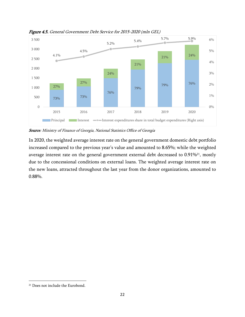

Figure 4.5. General Government Debt Service for 2015-2020 (mln GEL)

Source: Ministry of Finance of Georgia, National Statistics Office of Georgia

In 2020, the weighted average interest rate on the general government domestic debt portfolio increased compared to the previous year's value and amounted to 8.65%; while the weighted average interest rate on the general government external debt decreased to 0.91%<sup>21</sup>, mostly due to the concessional conditions on external loans. The weighted average interest rate on the new loans, attracted throughout the last year from the donor organizations, amounted to 0.88%.

<sup>21</sup> Does not include the Eurobond.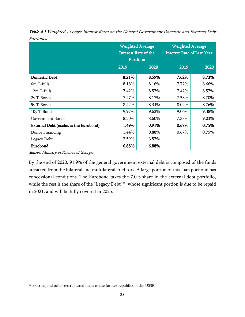|                                       | <b>Weighted Average</b><br><b>Interest Rate of the</b><br>Portfolio |       | <b>Weighted Average</b><br><b>Interest Rate of Last Year</b> |       |
|---------------------------------------|---------------------------------------------------------------------|-------|--------------------------------------------------------------|-------|
|                                       | 2019                                                                | 2020  | 2019                                                         | 2020  |
| <b>Domestic Debt</b>                  | 8.21%                                                               | 8.59% | 7.62%                                                        | 8.73% |
| 6m T-Bills                            | 8.18%                                                               | 8.16% | 7.72%                                                        | 8.66% |
| 12m T-Bills                           | 7.42%                                                               | 8.57% | 7.42%                                                        | 8.57% |
| 2y T-Bonds                            | 7.47%                                                               | 8.17% | 7.53%                                                        | 8.70% |
| 5y T-Bonds                            | 8.42%                                                               | 8.34% | 8.02%                                                        | 8.76% |
| 10y T-Bonds                           | 9.97%                                                               | 9.62% | 9.06%                                                        | 9.38% |
| Government Bonds                      | 8.50%                                                               | 8.60% | 7.38%                                                        | 9.03% |
| External Debt (excludes the Eurobond) | 1.49%                                                               | 0.91% | 0.67%                                                        | 0.75% |
| Donor Financing                       | 1.44%                                                               | 0.88% | 0.67%                                                        | 0.75% |
| Legacy Debt                           | 3.59%                                                               | 3.57% |                                                              |       |
| Eurobond                              | 6.88%                                                               | 6.88% |                                                              |       |

Table 4.1. Weighted Average Interest Rates on the General Government Domestic and External Debt Portfolios

**Source:** Ministry of Finance of Georgia

By the end of 2020, 91.9% of the general government external debt is composed of the funds attracted from the bilateral and multilateral creditors. A large portion of this loan portfolio has concessional conditions. The Eurobond takes the 7.0% share in the external debt portfolio, while the rest is the share of the "Legacy Debt"<sup>22</sup>, whose significant portion is due to be repaid in 2021, and will be fully covered in 2025.

<sup>&</sup>lt;sup>22</sup> Existing and other restructured loans to the former republics of the USSR.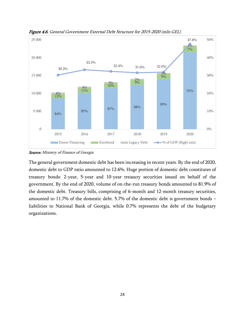

Figure 4.6. General Government External Debt Structure for 2015-2020 (mln GEL)

**Source:** Ministry of Finance of Georgia

The general government domestic debt has been increasing in recent years. By the end of 2020, domestic debt to GDP ratio amounted to 12.6%. Huge portion of domestic debt constitutes of treasury bonds: 2-year, 5-year and 10-year treasury securities issued on behalf of the government. By the end of 2020, volume of on-the-run treasury bonds amounted to 81.9% of the domestic debt. Treasury bills, comprising of 6-month and 12-month treasury securities, amounted to 11.7% of the domestic debt. 5.7% of the domestic debt is government bonds – liabilities to National Bank of Georgia, while 0.7% represents the debt of the budgetary organizations.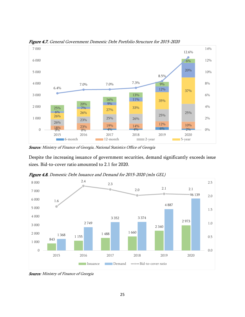

Figure 4.7. General Government Domestic Debt Portfolio Structure for 2015-2020

**Source**: Ministry of Finance of Georgia, National Statistics Office of Georgia

Despite the increasing issuance of government securities, demand significantly exceeds issue sizes. Bid-to-cover ratio amounted to 2.1 for 2020.



Figure 4.8. Domestic Debt Issuance and Demand for 2015-2020 (mln GEL)

**Source**: Ministry of Finance of Georgia